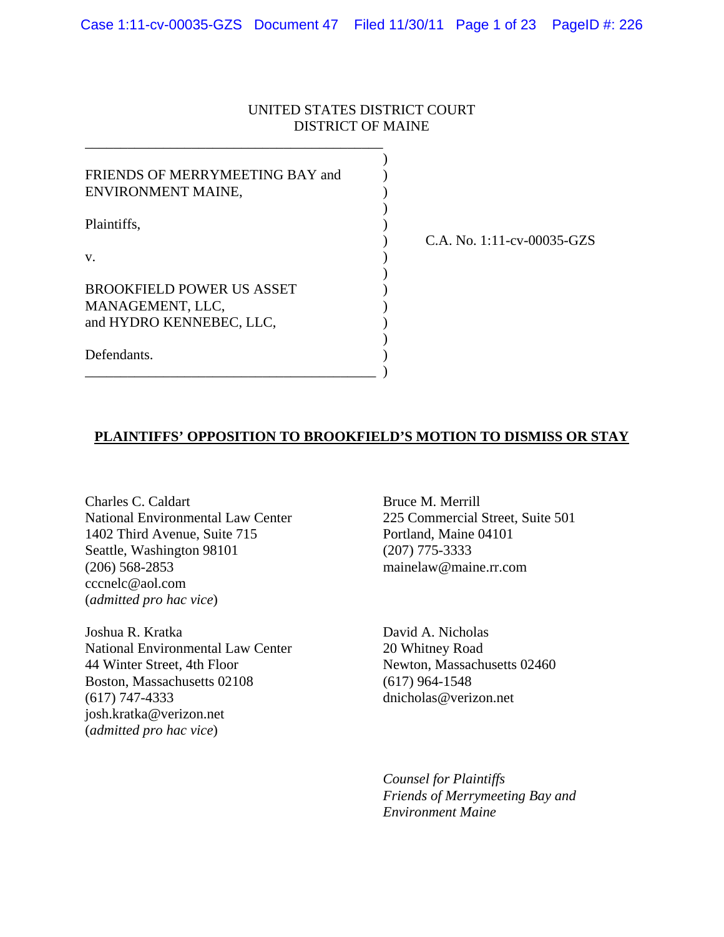## UNITED STATES DISTRICT COURT DISTRICT OF MAINE

| FRIENDS OF MERRYMEETING BAY and<br>ENVIRONMENT MAINE,                            |  |
|----------------------------------------------------------------------------------|--|
| Plaintiffs,                                                                      |  |
| V.                                                                               |  |
| <b>BROOKFIELD POWER US ASSET</b><br>MANAGEMENT, LLC,<br>and HYDRO KENNEBEC, LLC, |  |
| Defendants.                                                                      |  |

) C.A. No. 1:11-cv-00035-GZS

## **PLAINTIFFS' OPPOSITION TO BROOKFIELD'S MOTION TO DISMISS OR STAY**

Charles C. Caldart Bruce M. Merrill National Environmental Law Center 225 Commercial Street, Suite 501 1402 Third Avenue, Suite 715 Portland, Maine 04101 Seattle, Washington 98101 (207) 775-3333 (206) 568-2853 mainelaw@maine.rr.com cccnelc@aol.com (*admitted pro hac vice*)

Joshua R. Kratka David A. Nicholas National Environmental Law Center 20 Whitney Road 44 Winter Street, 4th Floor Newton, Massachusetts 02460 Boston, Massachusetts 02108 (617) 964-1548 (617) 747-4333 dnicholas@verizon.net josh.kratka@verizon.net (*admitted pro hac vice*)

 *Counsel for Plaintiffs Friends of Merrymeeting Bay and Environment Maine*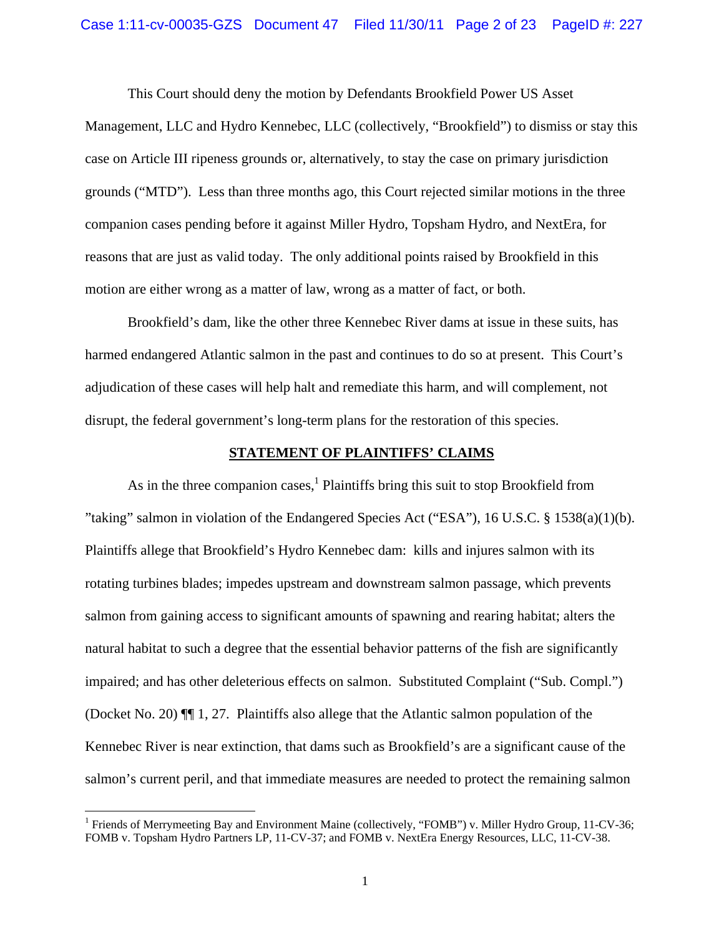This Court should deny the motion by Defendants Brookfield Power US Asset

Management, LLC and Hydro Kennebec, LLC (collectively, "Brookfield") to dismiss or stay this case on Article III ripeness grounds or, alternatively, to stay the case on primary jurisdiction grounds ("MTD"). Less than three months ago, this Court rejected similar motions in the three companion cases pending before it against Miller Hydro, Topsham Hydro, and NextEra, for reasons that are just as valid today. The only additional points raised by Brookfield in this motion are either wrong as a matter of law, wrong as a matter of fact, or both.

Brookfield's dam, like the other three Kennebec River dams at issue in these suits, has harmed endangered Atlantic salmon in the past and continues to do so at present. This Court's adjudication of these cases will help halt and remediate this harm, and will complement, not disrupt, the federal government's long-term plans for the restoration of this species.

### **STATEMENT OF PLAINTIFFS' CLAIMS**

As in the three companion cases,  $<sup>1</sup>$  Plaintiffs bring this suit to stop Brookfield from</sup> "taking" salmon in violation of the Endangered Species Act ("ESA"), 16 U.S.C. § 1538(a)(1)(b). Plaintiffs allege that Brookfield's Hydro Kennebec dam: kills and injures salmon with its rotating turbines blades; impedes upstream and downstream salmon passage, which prevents salmon from gaining access to significant amounts of spawning and rearing habitat; alters the natural habitat to such a degree that the essential behavior patterns of the fish are significantly impaired; and has other deleterious effects on salmon. Substituted Complaint ("Sub. Compl.") (Docket No. 20) ¶¶ 1, 27. Plaintiffs also allege that the Atlantic salmon population of the Kennebec River is near extinction, that dams such as Brookfield's are a significant cause of the salmon's current peril, and that immediate measures are needed to protect the remaining salmon

<sup>&</sup>lt;sup>1</sup> Friends of Merrymeeting Bay and Environment Maine (collectively, "FOMB") v. Miller Hydro Group, 11-CV-36; FOMB v. Topsham Hydro Partners LP, 11-CV-37; and FOMB v. NextEra Energy Resources, LLC, 11-CV-38.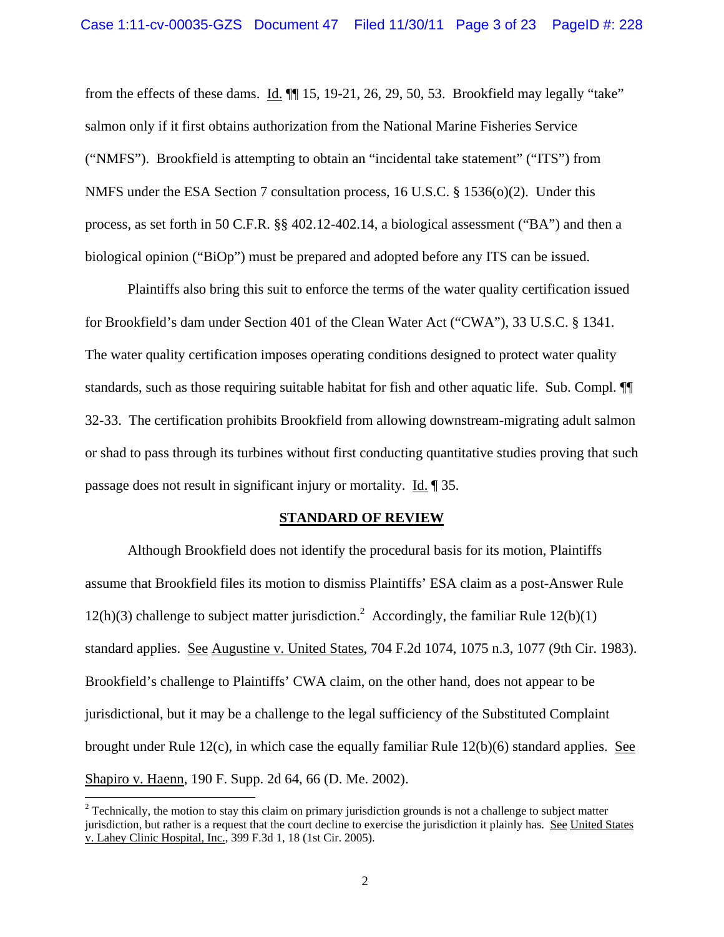from the effects of these dams. Id. ¶¶ 15, 19-21, 26, 29, 50, 53. Brookfield may legally "take" salmon only if it first obtains authorization from the National Marine Fisheries Service ("NMFS"). Brookfield is attempting to obtain an "incidental take statement" ("ITS") from NMFS under the ESA Section 7 consultation process, 16 U.S.C. § 1536(o)(2). Under this process, as set forth in 50 C.F.R. §§ 402.12-402.14, a biological assessment ("BA") and then a biological opinion ("BiOp") must be prepared and adopted before any ITS can be issued.

 Plaintiffs also bring this suit to enforce the terms of the water quality certification issued for Brookfield's dam under Section 401 of the Clean Water Act ("CWA"), 33 U.S.C. § 1341. The water quality certification imposes operating conditions designed to protect water quality standards, such as those requiring suitable habitat for fish and other aquatic life. Sub. Compl. ¶¶ 32-33. The certification prohibits Brookfield from allowing downstream-migrating adult salmon or shad to pass through its turbines without first conducting quantitative studies proving that such passage does not result in significant injury or mortality. Id. ¶ 35.

#### **STANDARD OF REVIEW**

 Although Brookfield does not identify the procedural basis for its motion, Plaintiffs assume that Brookfield files its motion to dismiss Plaintiffs' ESA claim as a post-Answer Rule 12(h)(3) challenge to subject matter jurisdiction.<sup>2</sup> Accordingly, the familiar Rule  $12(b)(1)$ standard applies. See Augustine v. United States, 704 F.2d 1074, 1075 n.3, 1077 (9th Cir. 1983). Brookfield's challenge to Plaintiffs' CWA claim, on the other hand, does not appear to be jurisdictional, but it may be a challenge to the legal sufficiency of the Substituted Complaint brought under Rule 12(c), in which case the equally familiar Rule 12(b)(6) standard applies. See Shapiro v. Haenn, 190 F. Supp. 2d 64, 66 (D. Me. 2002).

 $2^2$  Technically, the motion to stay this claim on primary jurisdiction grounds is not a challenge to subject matter jurisdiction, but rather is a request that the court decline to exercise the jurisdiction it plainly has. See United States v. Lahey Clinic Hospital, Inc., 399 F.3d 1, 18 (1st Cir. 2005).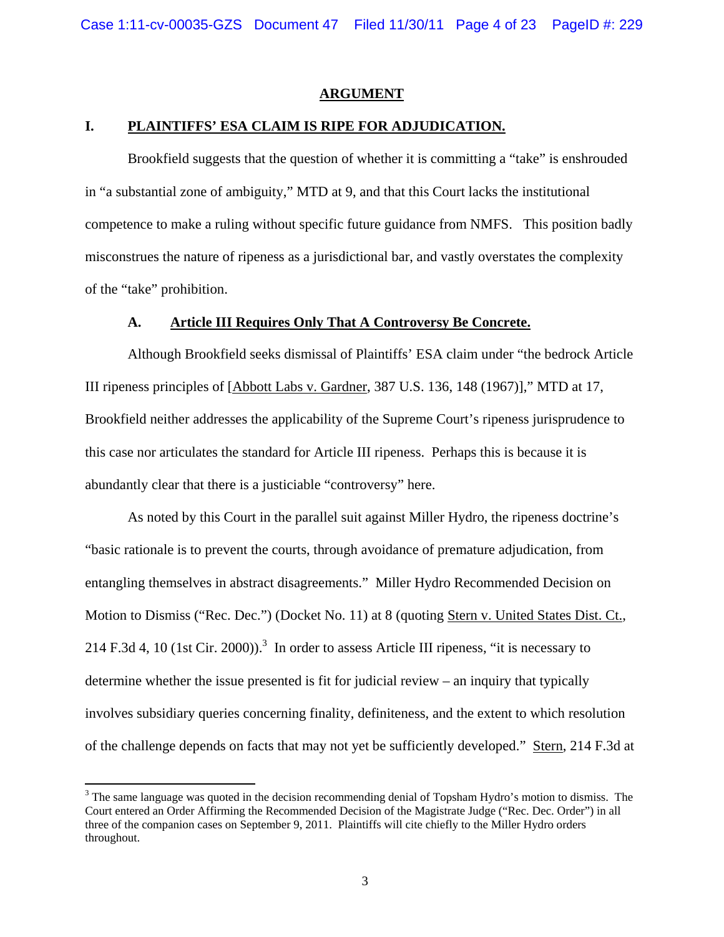#### **ARGUMENT**

### **I. PLAINTIFFS' ESA CLAIM IS RIPE FOR ADJUDICATION.**

Brookfield suggests that the question of whether it is committing a "take" is enshrouded in "a substantial zone of ambiguity," MTD at 9, and that this Court lacks the institutional competence to make a ruling without specific future guidance from NMFS. This position badly misconstrues the nature of ripeness as a jurisdictional bar, and vastly overstates the complexity of the "take" prohibition.

#### **A. Article III Requires Only That A Controversy Be Concrete.**

Although Brookfield seeks dismissal of Plaintiffs' ESA claim under "the bedrock Article III ripeness principles of [Abbott Labs v. Gardner, 387 U.S. 136, 148 (1967)]," MTD at 17, Brookfield neither addresses the applicability of the Supreme Court's ripeness jurisprudence to this case nor articulates the standard for Article III ripeness. Perhaps this is because it is abundantly clear that there is a justiciable "controversy" here.

As noted by this Court in the parallel suit against Miller Hydro, the ripeness doctrine's "basic rationale is to prevent the courts, through avoidance of premature adjudication, from entangling themselves in abstract disagreements." Miller Hydro Recommended Decision on Motion to Dismiss ("Rec. Dec.") (Docket No. 11) at 8 (quoting Stern v. United States Dist. Ct., 214 F.3d 4, 10 (1st Cir. 2000)).<sup>3</sup> In order to assess Article III ripeness, "it is necessary to determine whether the issue presented is fit for judicial review – an inquiry that typically involves subsidiary queries concerning finality, definiteness, and the extent to which resolution of the challenge depends on facts that may not yet be sufficiently developed." Stern, 214 F.3d at

 $3$  The same language was quoted in the decision recommending denial of Topsham Hydro's motion to dismiss. The Court entered an Order Affirming the Recommended Decision of the Magistrate Judge ("Rec. Dec. Order") in all three of the companion cases on September 9, 2011. Plaintiffs will cite chiefly to the Miller Hydro orders throughout.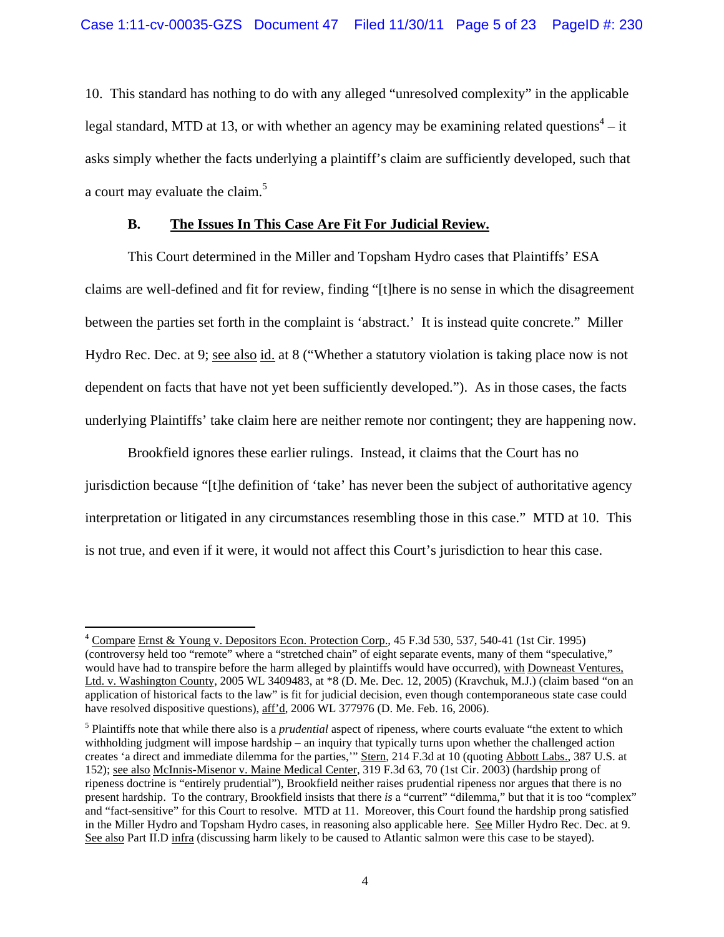10. This standard has nothing to do with any alleged "unresolved complexity" in the applicable legal standard, MTD at 13, or with whether an agency may be examining related questions<sup>4</sup> – it asks simply whether the facts underlying a plaintiff's claim are sufficiently developed, such that a court may evaluate the claim.<sup>5</sup>

### **B. The Issues In This Case Are Fit For Judicial Review.**

This Court determined in the Miller and Topsham Hydro cases that Plaintiffs' ESA claims are well-defined and fit for review, finding "[t]here is no sense in which the disagreement between the parties set forth in the complaint is 'abstract.' It is instead quite concrete." Miller Hydro Rec. Dec. at 9; see also id. at 8 ("Whether a statutory violation is taking place now is not dependent on facts that have not yet been sufficiently developed."). As in those cases, the facts underlying Plaintiffs' take claim here are neither remote nor contingent; they are happening now.

Brookfield ignores these earlier rulings. Instead, it claims that the Court has no jurisdiction because "[t]he definition of 'take' has never been the subject of authoritative agency interpretation or litigated in any circumstances resembling those in this case." MTD at 10. This is not true, and even if it were, it would not affect this Court's jurisdiction to hear this case.

  $4 \text{ Compare Ernst & Young v. Depositors Econ. Protection Corp., } 45 F.3d 530, 537, 540-41 (1st Cir. 1995)$ (controversy held too "remote" where a "stretched chain" of eight separate events, many of them "speculative," would have had to transpire before the harm alleged by plaintiffs would have occurred), with Downeast Ventures, Ltd. v. Washington County, 2005 WL 3409483, at \*8 (D. Me. Dec. 12, 2005) (Kravchuk, M.J.) (claim based "on an application of historical facts to the law" is fit for judicial decision, even though contemporaneous state case could have resolved dispositive questions), aff'd, 2006 WL 377976 (D. Me. Feb. 16, 2006).

<sup>&</sup>lt;sup>5</sup> Plaintiffs note that while there also is a *prudential* aspect of ripeness, where courts evaluate "the extent to which withholding judgment will impose hardship – an inquiry that typically turns upon whether the challenged action creates 'a direct and immediate dilemma for the parties,'" Stern, 214 F.3d at 10 (quoting Abbott Labs., 387 U.S. at 152); see also McInnis-Misenor v. Maine Medical Center, 319 F.3d 63, 70 (1st Cir. 2003) (hardship prong of ripeness doctrine is "entirely prudential"), Brookfield neither raises prudential ripeness nor argues that there is no present hardship. To the contrary, Brookfield insists that there *is* a "current" "dilemma," but that it is too "complex" and "fact-sensitive" for this Court to resolve. MTD at 11. Moreover, this Court found the hardship prong satisfied in the Miller Hydro and Topsham Hydro cases, in reasoning also applicable here. See Miller Hydro Rec. Dec. at 9. See also Part II.D infra (discussing harm likely to be caused to Atlantic salmon were this case to be stayed).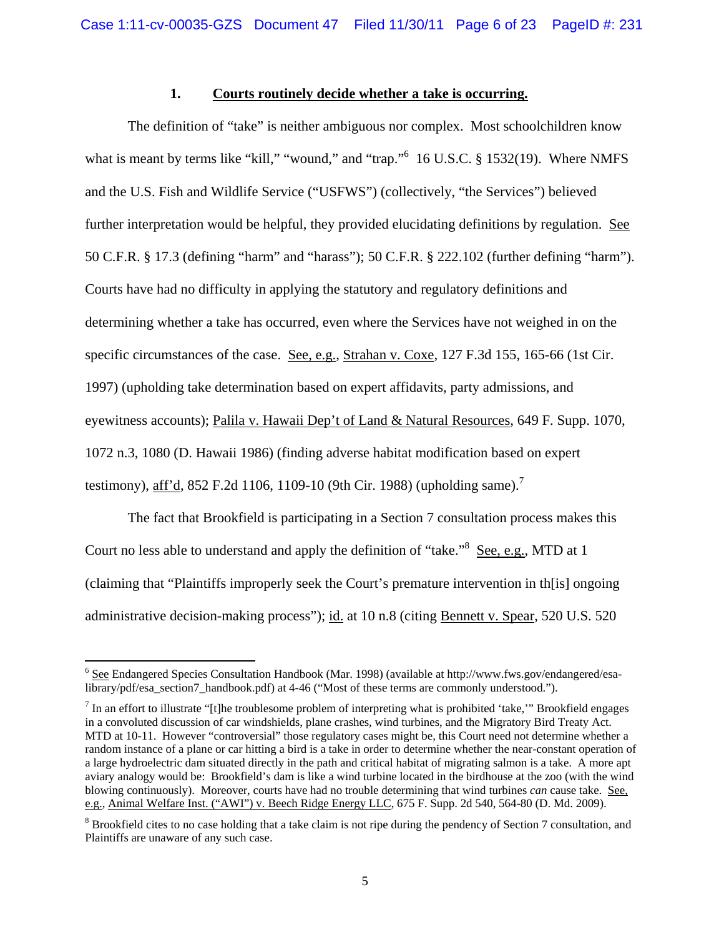### **1. Courts routinely decide whether a take is occurring.**

The definition of "take" is neither ambiguous nor complex. Most schoolchildren know what is meant by terms like "kill," "wound," and "trap."<sup>6</sup> 16 U.S.C. § 1532(19). Where NMFS and the U.S. Fish and Wildlife Service ("USFWS") (collectively, "the Services") believed further interpretation would be helpful, they provided elucidating definitions by regulation. See 50 C.F.R. § 17.3 (defining "harm" and "harass"); 50 C.F.R. § 222.102 (further defining "harm"). Courts have had no difficulty in applying the statutory and regulatory definitions and determining whether a take has occurred, even where the Services have not weighed in on the specific circumstances of the case. See, e.g., Strahan v. Coxe, 127 F.3d 155, 165-66 (1st Cir. 1997) (upholding take determination based on expert affidavits, party admissions, and eyewitness accounts); Palila v. Hawaii Dep't of Land & Natural Resources, 649 F. Supp. 1070, 1072 n.3, 1080 (D. Hawaii 1986) (finding adverse habitat modification based on expert testimony), aff'd, 852 F.2d 1106, 1109-10 (9th Cir. 1988) (upholding same).<sup>7</sup>

The fact that Brookfield is participating in a Section 7 consultation process makes this Court no less able to understand and apply the definition of "take."<sup>8</sup> See, e.g., MTD at 1 (claiming that "Plaintiffs improperly seek the Court's premature intervention in th[is] ongoing administrative decision-making process"); id. at 10 n.8 (citing Bennett v. Spear, 520 U.S. 520

<sup>&</sup>lt;sup>6</sup> See Endangered Species Consultation Handbook (Mar. 1998) (available at http://www.fws.gov/endangered/esalibrary/pdf/esa\_section7\_handbook.pdf) at 4-46 ("Most of these terms are commonly understood.").

 $^7$  In an effort to illustrate "[t]he troublesome problem of interpreting what is prohibited 'take," Brookfield engages in a convoluted discussion of car windshields, plane crashes, wind turbines, and the Migratory Bird Treaty Act. MTD at 10-11. However "controversial" those regulatory cases might be, this Court need not determine whether a random instance of a plane or car hitting a bird is a take in order to determine whether the near-constant operation of a large hydroelectric dam situated directly in the path and critical habitat of migrating salmon is a take. A more apt aviary analogy would be: Brookfield's dam is like a wind turbine located in the birdhouse at the zoo (with the wind blowing continuously). Moreover, courts have had no trouble determining that wind turbines *can* cause take. See, e.g., Animal Welfare Inst. ("AWI") v. Beech Ridge Energy LLC, 675 F. Supp. 2d 540, 564-80 (D. Md. 2009).

 $8$  Brookfield cites to no case holding that a take claim is not ripe during the pendency of Section 7 consultation, and Plaintiffs are unaware of any such case.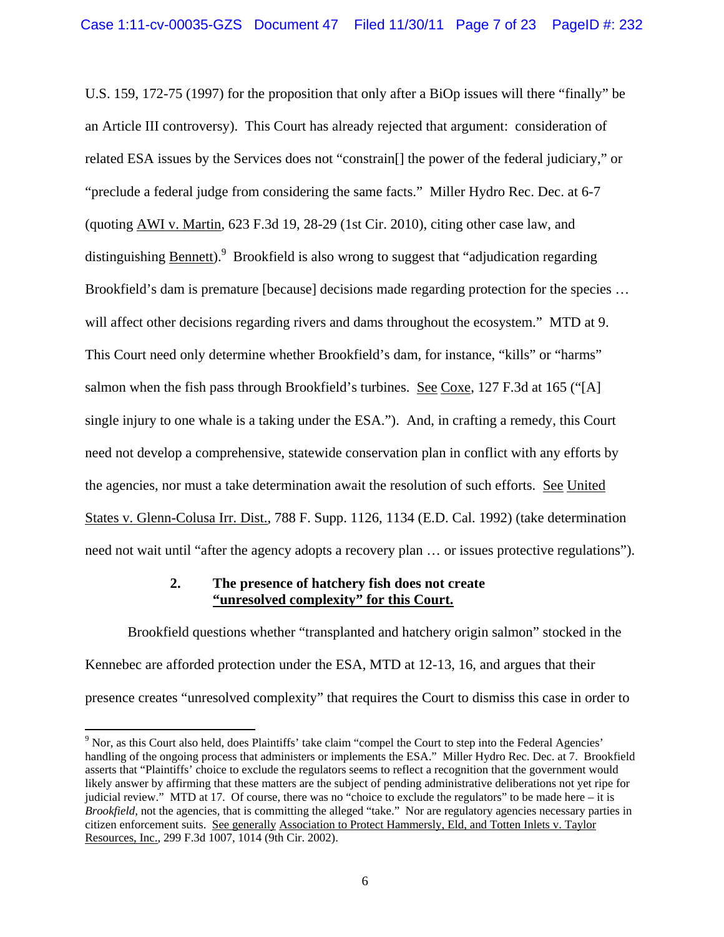U.S. 159, 172-75 (1997) for the proposition that only after a BiOp issues will there "finally" be an Article III controversy). This Court has already rejected that argument: consideration of related ESA issues by the Services does not "constrain[] the power of the federal judiciary," or "preclude a federal judge from considering the same facts." Miller Hydro Rec. Dec. at 6-7 (quoting AWI v. Martin, 623 F.3d 19, 28-29 (1st Cir. 2010), citing other case law, and distinguishing **Bennett**).<sup>9</sup> Brookfield is also wrong to suggest that "adjudication regarding Brookfield's dam is premature [because] decisions made regarding protection for the species ... will affect other decisions regarding rivers and dams throughout the ecosystem." MTD at 9. This Court need only determine whether Brookfield's dam, for instance, "kills" or "harms" salmon when the fish pass through Brookfield's turbines. See Coxe, 127 F.3d at 165 ("[A] single injury to one whale is a taking under the ESA."). And, in crafting a remedy, this Court need not develop a comprehensive, statewide conservation plan in conflict with any efforts by the agencies, nor must a take determination await the resolution of such efforts. See United States v. Glenn-Colusa Irr. Dist., 788 F. Supp. 1126, 1134 (E.D. Cal. 1992) (take determination need not wait until "after the agency adopts a recovery plan … or issues protective regulations").

## **2. The presence of hatchery fish does not create "unresolved complexity" for this Court.**

 Brookfield questions whether "transplanted and hatchery origin salmon" stocked in the Kennebec are afforded protection under the ESA, MTD at 12-13, 16, and argues that their presence creates "unresolved complexity" that requires the Court to dismiss this case in order to

<sup>&</sup>lt;sup>9</sup> Nor, as this Court also held, does Plaintiffs' take claim "compel the Court to step into the Federal Agencies' handling of the ongoing process that administers or implements the ESA." Miller Hydro Rec. Dec. at 7. Brookfield asserts that "Plaintiffs' choice to exclude the regulators seems to reflect a recognition that the government would likely answer by affirming that these matters are the subject of pending administrative deliberations not yet ripe for judicial review." MTD at 17. Of course, there was no "choice to exclude the regulators" to be made here – it is *Brookfield*, not the agencies, that is committing the alleged "take." Nor are regulatory agencies necessary parties in citizen enforcement suits. See generally Association to Protect Hammersly, Eld, and Totten Inlets v. Taylor Resources, Inc., 299 F.3d 1007, 1014 (9th Cir. 2002).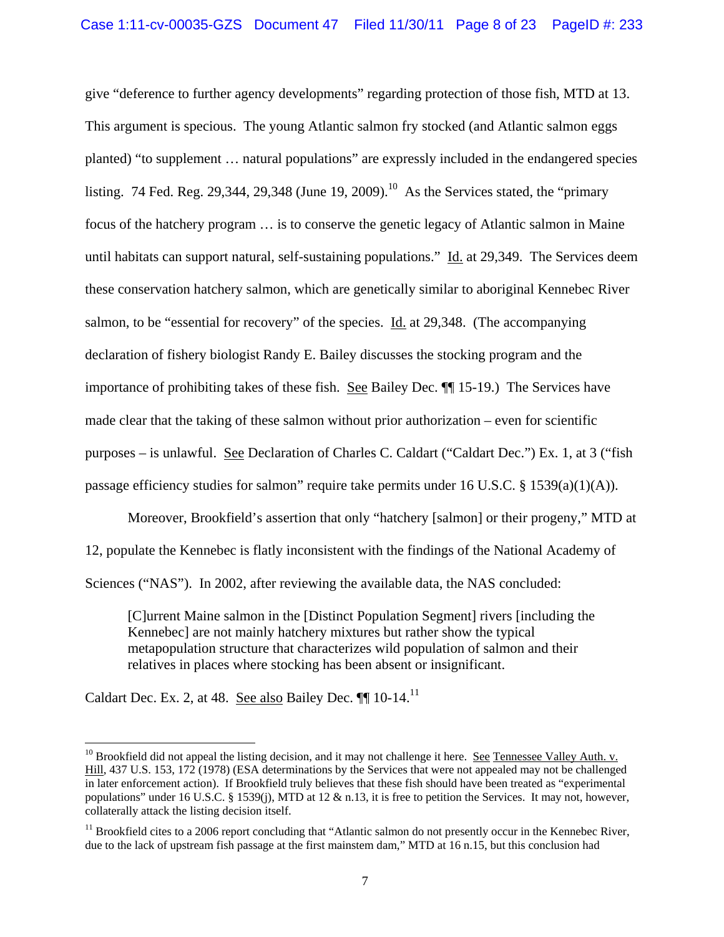give "deference to further agency developments" regarding protection of those fish, MTD at 13. This argument is specious. The young Atlantic salmon fry stocked (and Atlantic salmon eggs planted) "to supplement … natural populations" are expressly included in the endangered species listing. 74 Fed. Reg. 29,344, 29,348 (June 19, 2009).<sup>10</sup> As the Services stated, the "primary" focus of the hatchery program … is to conserve the genetic legacy of Atlantic salmon in Maine until habitats can support natural, self-sustaining populations." Id. at 29,349. The Services deem these conservation hatchery salmon, which are genetically similar to aboriginal Kennebec River salmon, to be "essential for recovery" of the species. Id. at 29,348. (The accompanying declaration of fishery biologist Randy E. Bailey discusses the stocking program and the importance of prohibiting takes of these fish. See Bailey Dec. ¶¶ 15-19.) The Services have made clear that the taking of these salmon without prior authorization – even for scientific purposes – is unlawful. See Declaration of Charles C. Caldart ("Caldart Dec.") Ex. 1, at 3 ("fish passage efficiency studies for salmon" require take permits under 16 U.S.C. § 1539(a)(1)(A)).

Moreover, Brookfield's assertion that only "hatchery [salmon] or their progeny," MTD at 12, populate the Kennebec is flatly inconsistent with the findings of the National Academy of Sciences ("NAS"). In 2002, after reviewing the available data, the NAS concluded:

[C]urrent Maine salmon in the [Distinct Population Segment] rivers [including the Kennebec] are not mainly hatchery mixtures but rather show the typical metapopulation structure that characterizes wild population of salmon and their relatives in places where stocking has been absent or insignificant.

Caldart Dec. Ex. 2, at 48. See also Bailey Dec. ¶¶ 10-14.11

<sup>&</sup>lt;sup>10</sup> Brookfield did not appeal the listing decision, and it may not challenge it here. <u>See Tennessee Valley Auth. v.</u> Hill, 437 U.S. 153, 172 (1978) (ESA determinations by the Services that were not appealed may not be challenged in later enforcement action). If Brookfield truly believes that these fish should have been treated as "experimental populations" under 16 U.S.C. § 1539(j), MTD at 12 & n.13, it is free to petition the Services. It may not, however, collaterally attack the listing decision itself.

<sup>&</sup>lt;sup>11</sup> Brookfield cites to a 2006 report concluding that "Atlantic salmon do not presently occur in the Kennebec River, due to the lack of upstream fish passage at the first mainstem dam," MTD at 16 n.15, but this conclusion had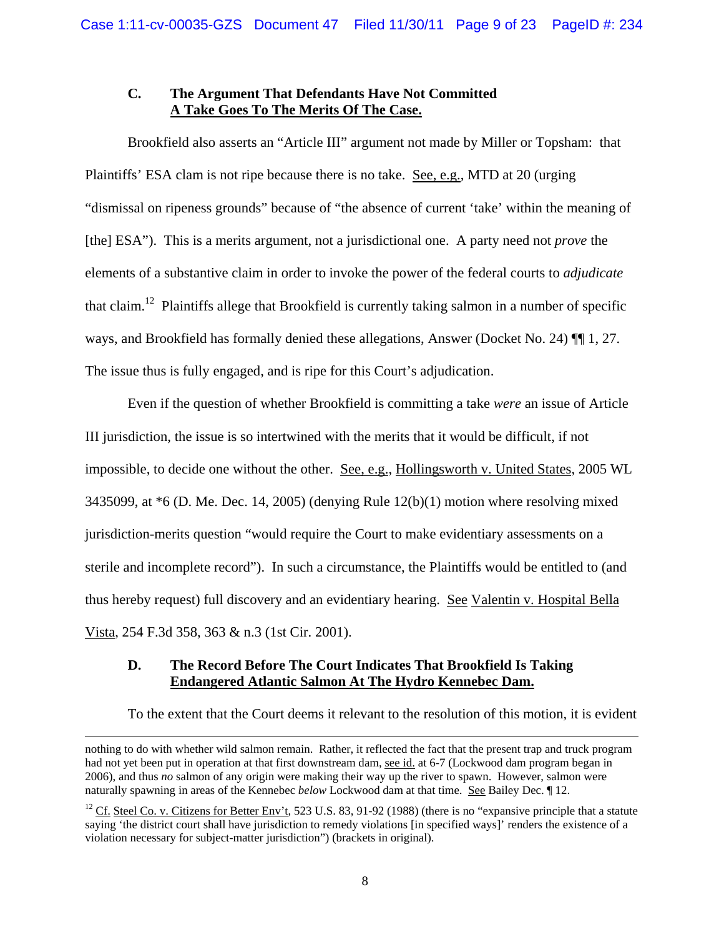## **C. The Argument That Defendants Have Not Committed A Take Goes To The Merits Of The Case.**

Brookfield also asserts an "Article III" argument not made by Miller or Topsham: that Plaintiffs' ESA clam is not ripe because there is no take. See, e.g., MTD at 20 (urging "dismissal on ripeness grounds" because of "the absence of current 'take' within the meaning of [the] ESA"). This is a merits argument, not a jurisdictional one. A party need not *prove* the elements of a substantive claim in order to invoke the power of the federal courts to *adjudicate* that claim.<sup>12</sup> Plaintiffs allege that Brookfield is currently taking salmon in a number of specific ways, and Brookfield has formally denied these allegations, Answer (Docket No. 24) ¶¶ 1, 27. The issue thus is fully engaged, and is ripe for this Court's adjudication.

Even if the question of whether Brookfield is committing a take *were* an issue of Article III jurisdiction, the issue is so intertwined with the merits that it would be difficult, if not impossible, to decide one without the other. See, e.g., Hollingsworth v. United States, 2005 WL 3435099, at  $*6$  (D. Me. Dec. 14, 2005) (denying Rule 12(b)(1) motion where resolving mixed jurisdiction-merits question "would require the Court to make evidentiary assessments on a sterile and incomplete record"). In such a circumstance, the Plaintiffs would be entitled to (and thus hereby request) full discovery and an evidentiary hearing. See Valentin v. Hospital Bella Vista, 254 F.3d 358, 363 & n.3 (1st Cir. 2001).

## **D. The Record Before The Court Indicates That Brookfield Is Taking Endangered Atlantic Salmon At The Hydro Kennebec Dam.**

To the extent that the Court deems it relevant to the resolution of this motion, it is evident

<u> 1989 - Johann Stein, marwolaethau a gweledydd a ganlad y ganlad y ganlad y ganlad y ganlad y ganlad y ganlad</u>

nothing to do with whether wild salmon remain. Rather, it reflected the fact that the present trap and truck program had not yet been put in operation at that first downstream dam, see id. at 6-7 (Lockwood dam program began in 2006), and thus *no* salmon of any origin were making their way up the river to spawn. However, salmon were naturally spawning in areas of the Kennebec *below* Lockwood dam at that time. See Bailey Dec. ¶ 12.

<sup>&</sup>lt;sup>12</sup> Cf. Steel Co. v. Citizens for Better Env't, 523 U.S. 83, 91-92 (1988) (there is no "expansive principle that a statute saying 'the district court shall have jurisdiction to remedy violations [in specified ways]' renders the existence of a violation necessary for subject-matter jurisdiction") (brackets in original).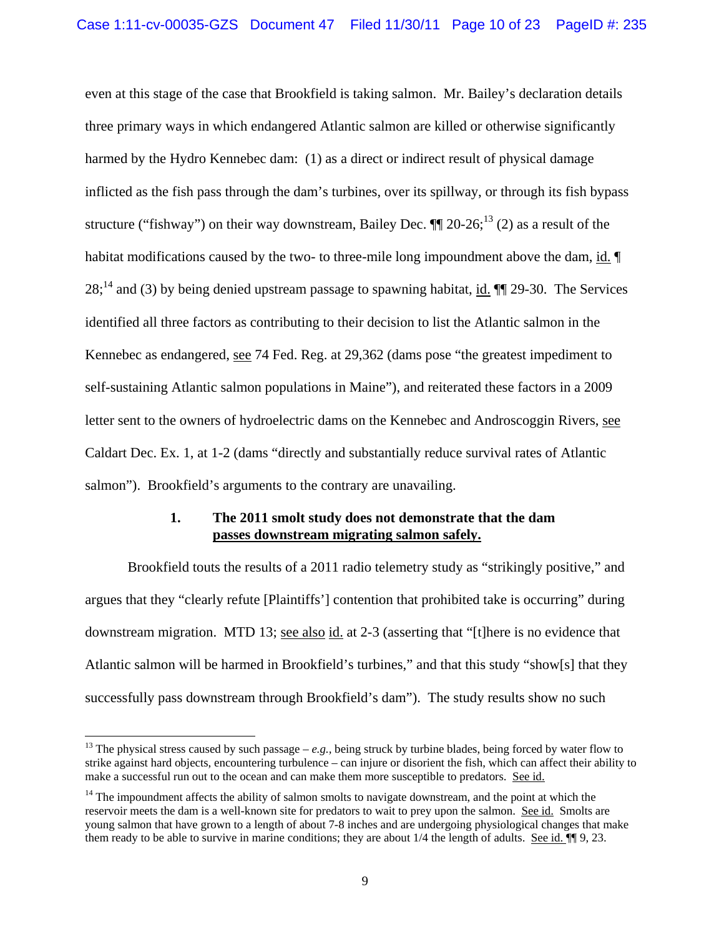even at this stage of the case that Brookfield is taking salmon. Mr. Bailey's declaration details three primary ways in which endangered Atlantic salmon are killed or otherwise significantly harmed by the Hydro Kennebec dam: (1) as a direct or indirect result of physical damage inflicted as the fish pass through the dam's turbines, over its spillway, or through its fish bypass structure ("fishway") on their way downstream, Bailey Dec.  $\P\P$  20-26;  $^{13}$  (2) as a result of the habitat modifications caused by the two- to three-mile long impoundment above the dam, id.  $\P$  $28$ ;<sup>14</sup> and (3) by being denied upstream passage to spawning habitat, id.  $\P$  29-30. The Services identified all three factors as contributing to their decision to list the Atlantic salmon in the Kennebec as endangered, see 74 Fed. Reg. at 29,362 (dams pose "the greatest impediment to self-sustaining Atlantic salmon populations in Maine"), and reiterated these factors in a 2009 letter sent to the owners of hydroelectric dams on the Kennebec and Androscoggin Rivers, see Caldart Dec. Ex. 1, at 1-2 (dams "directly and substantially reduce survival rates of Atlantic salmon"). Brookfield's arguments to the contrary are unavailing.

## **1. The 2011 smolt study does not demonstrate that the dam passes downstream migrating salmon safely.**

Brookfield touts the results of a 2011 radio telemetry study as "strikingly positive," and argues that they "clearly refute [Plaintiffs'] contention that prohibited take is occurring" during downstream migration. MTD 13; see also id. at 2-3 (asserting that "[t]here is no evidence that Atlantic salmon will be harmed in Brookfield's turbines," and that this study "show[s] that they successfully pass downstream through Brookfield's dam"). The study results show no such

<sup>&</sup>lt;sup>13</sup> The physical stress caused by such passage –  $e.g.,$  being struck by turbine blades, being forced by water flow to strike against hard objects, encountering turbulence – can injure or disorient the fish, which can affect their ability to make a successful run out to the ocean and can make them more susceptible to predators. See id.

<sup>&</sup>lt;sup>14</sup> The impoundment affects the ability of salmon smolts to navigate downstream, and the point at which the reservoir meets the dam is a well-known site for predators to wait to prey upon the salmon. See id. Smolts are young salmon that have grown to a length of about 7-8 inches and are undergoing physiological changes that make them ready to be able to survive in marine conditions; they are about 1/4 the length of adults. See id.  $\P$  9, 23.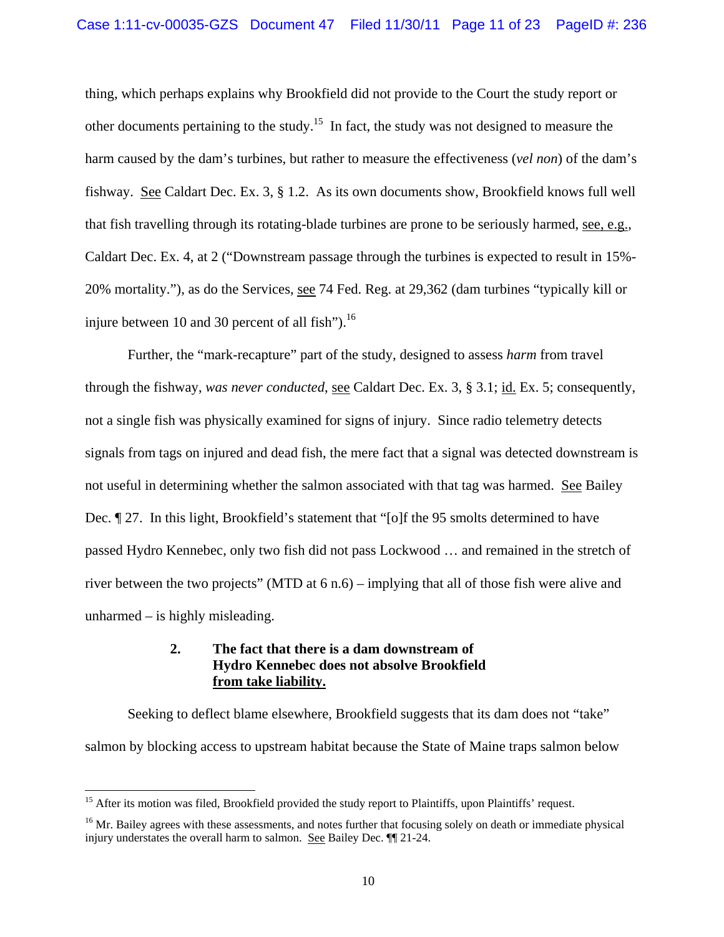thing, which perhaps explains why Brookfield did not provide to the Court the study report or other documents pertaining to the study.<sup>15</sup> In fact, the study was not designed to measure the harm caused by the dam's turbines, but rather to measure the effectiveness (*vel non*) of the dam's fishway. See Caldart Dec. Ex. 3, § 1.2. As its own documents show, Brookfield knows full well that fish travelling through its rotating-blade turbines are prone to be seriously harmed, see, e.g., Caldart Dec. Ex. 4, at 2 ("Downstream passage through the turbines is expected to result in 15%- 20% mortality."), as do the Services, see 74 Fed. Reg. at 29,362 (dam turbines "typically kill or injure between 10 and 30 percent of all fish" $^{16}$ .

Further, the "mark-recapture" part of the study, designed to assess *harm* from travel through the fishway, *was never conducted*, see Caldart Dec. Ex. 3, § 3.1; id. Ex. 5; consequently, not a single fish was physically examined for signs of injury. Since radio telemetry detects signals from tags on injured and dead fish, the mere fact that a signal was detected downstream is not useful in determining whether the salmon associated with that tag was harmed. See Bailey Dec. ¶ 27. In this light, Brookfield's statement that "[o]f the 95 smolts determined to have passed Hydro Kennebec, only two fish did not pass Lockwood … and remained in the stretch of river between the two projects" (MTD at 6 n.6) – implying that all of those fish were alive and unharmed – is highly misleading.

## **2. The fact that there is a dam downstream of Hydro Kennebec does not absolve Brookfield from take liability.**

Seeking to deflect blame elsewhere, Brookfield suggests that its dam does not "take" salmon by blocking access to upstream habitat because the State of Maine traps salmon below

<sup>&</sup>lt;sup>15</sup> After its motion was filed, Brookfield provided the study report to Plaintiffs, upon Plaintiffs' request.

<sup>&</sup>lt;sup>16</sup> Mr. Bailey agrees with these assessments, and notes further that focusing solely on death or immediate physical injury understates the overall harm to salmon. See Bailey Dec. ¶¶ 21-24.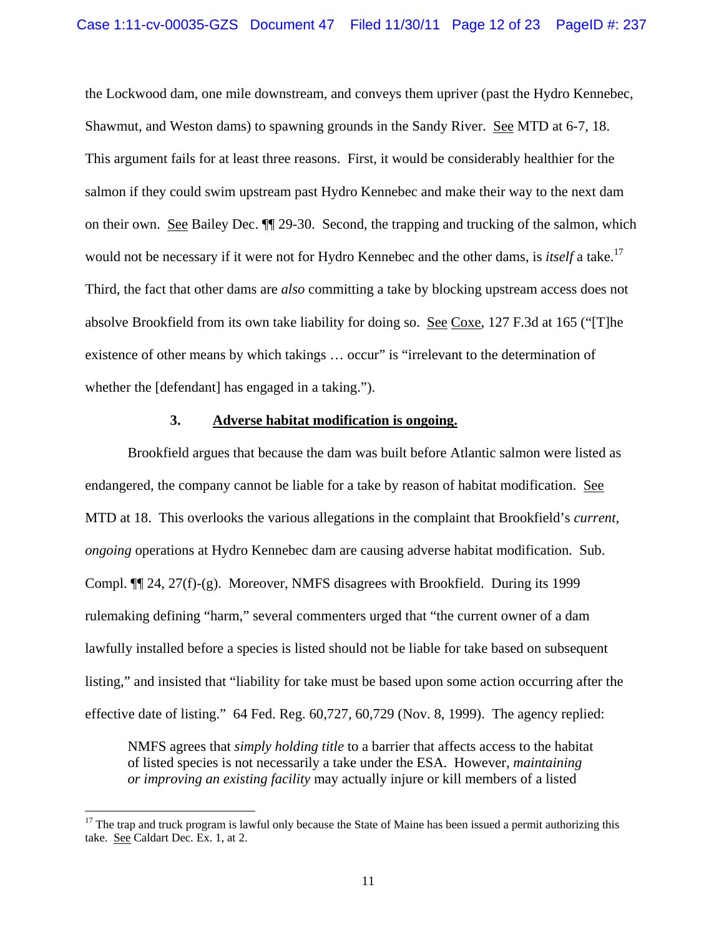the Lockwood dam, one mile downstream, and conveys them upriver (past the Hydro Kennebec, Shawmut, and Weston dams) to spawning grounds in the Sandy River. See MTD at 6-7, 18. This argument fails for at least three reasons. First, it would be considerably healthier for the salmon if they could swim upstream past Hydro Kennebec and make their way to the next dam on their own. See Bailey Dec. ¶¶ 29-30. Second, the trapping and trucking of the salmon, which would not be necessary if it were not for Hydro Kennebec and the other dams, is *itself* a take.<sup>17</sup> Third, the fact that other dams are *also* committing a take by blocking upstream access does not absolve Brookfield from its own take liability for doing so. See Coxe, 127 F.3d at 165 ("[T]he existence of other means by which takings ... occur" is "irrelevant to the determination of whether the [defendant] has engaged in a taking.").

#### **3. Adverse habitat modification is ongoing.**

 Brookfield argues that because the dam was built before Atlantic salmon were listed as endangered, the company cannot be liable for a take by reason of habitat modification. See MTD at 18. This overlooks the various allegations in the complaint that Brookfield's *current, ongoing* operations at Hydro Kennebec dam are causing adverse habitat modification. Sub. Compl. ¶¶ 24, 27(f)-(g). Moreover, NMFS disagrees with Brookfield. During its 1999 rulemaking defining "harm," several commenters urged that "the current owner of a dam lawfully installed before a species is listed should not be liable for take based on subsequent listing," and insisted that "liability for take must be based upon some action occurring after the effective date of listing." 64 Fed. Reg. 60,727, 60,729 (Nov. 8, 1999). The agency replied:

NMFS agrees that *simply holding title* to a barrier that affects access to the habitat of listed species is not necessarily a take under the ESA. However, *maintaining or improving an existing facility* may actually injure or kill members of a listed

 $17$  The trap and truck program is lawful only because the State of Maine has been issued a permit authorizing this take. See Caldart Dec. Ex. 1, at 2.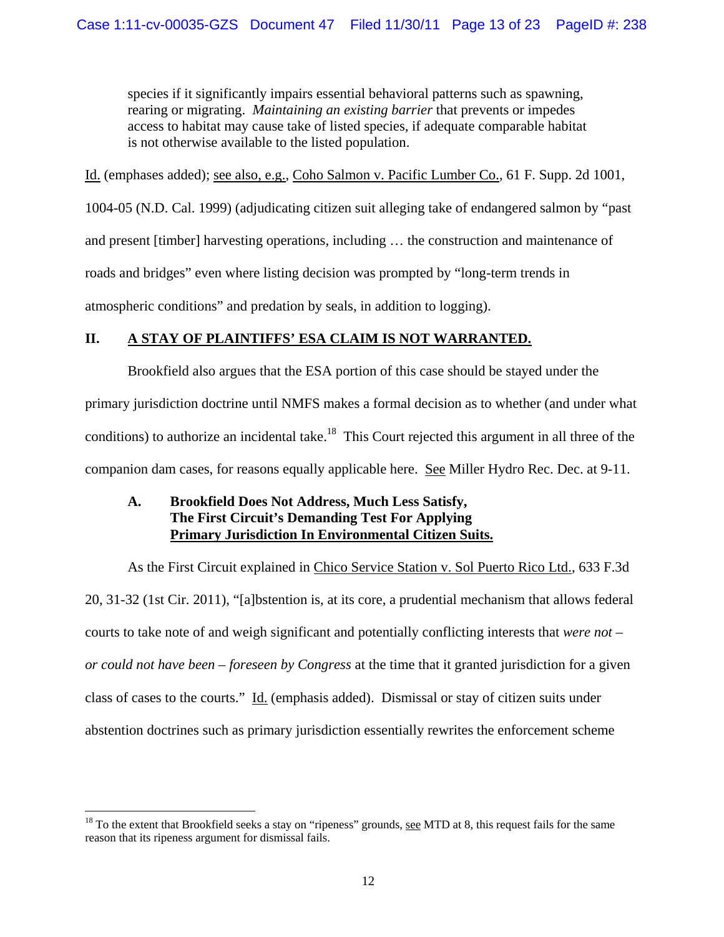species if it significantly impairs essential behavioral patterns such as spawning, rearing or migrating. *Maintaining an existing barrier* that prevents or impedes access to habitat may cause take of listed species, if adequate comparable habitat is not otherwise available to the listed population.

Id. (emphases added); see also, e.g., Coho Salmon v. Pacific Lumber Co., 61 F. Supp. 2d 1001,

1004-05 (N.D. Cal. 1999) (adjudicating citizen suit alleging take of endangered salmon by "past and present [timber] harvesting operations, including … the construction and maintenance of roads and bridges" even where listing decision was prompted by "long-term trends in

atmospheric conditions" and predation by seals, in addition to logging).

# **II. A STAY OF PLAINTIFFS' ESA CLAIM IS NOT WARRANTED.**

Brookfield also argues that the ESA portion of this case should be stayed under the primary jurisdiction doctrine until NMFS makes a formal decision as to whether (and under what conditions) to authorize an incidental take.<sup>18</sup> This Court rejected this argument in all three of the companion dam cases, for reasons equally applicable here. See Miller Hydro Rec. Dec. at 9-11.

## **A. Brookfield Does Not Address, Much Less Satisfy, The First Circuit's Demanding Test For Applying Primary Jurisdiction In Environmental Citizen Suits.**

As the First Circuit explained in Chico Service Station v. Sol Puerto Rico Ltd., 633 F.3d 20, 31-32 (1st Cir. 2011), "[a]bstention is, at its core, a prudential mechanism that allows federal courts to take note of and weigh significant and potentially conflicting interests that *were not – or could not have been – foreseen by Congress* at the time that it granted jurisdiction for a given class of cases to the courts." Id. (emphasis added). Dismissal or stay of citizen suits under abstention doctrines such as primary jurisdiction essentially rewrites the enforcement scheme

 $18$  To the extent that Brookfield seeks a stay on "ripeness" grounds, see MTD at 8, this request fails for the same reason that its ripeness argument for dismissal fails.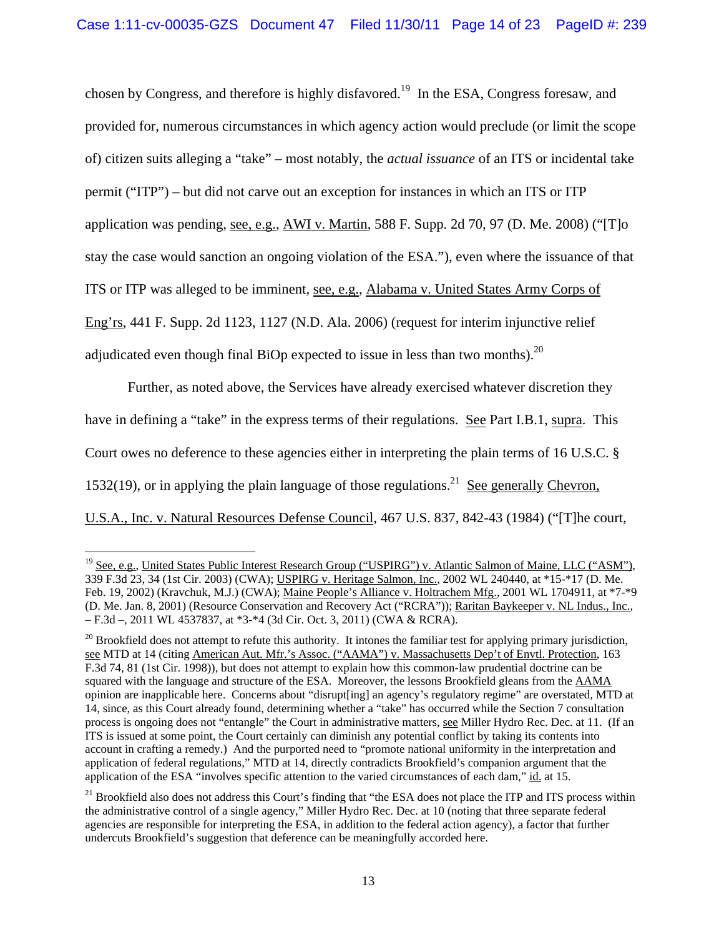chosen by Congress, and therefore is highly disfavored.<sup>19</sup> In the ESA, Congress foresaw, and provided for, numerous circumstances in which agency action would preclude (or limit the scope of) citizen suits alleging a "take" – most notably, the *actual issuance* of an ITS or incidental take permit ("ITP") – but did not carve out an exception for instances in which an ITS or ITP application was pending, see, e.g., AWI v. Martin, 588 F. Supp. 2d 70, 97 (D. Me. 2008) ("[T]o stay the case would sanction an ongoing violation of the ESA."), even where the issuance of that ITS or ITP was alleged to be imminent, see, e.g., Alabama v. United States Army Corps of Eng'rs, 441 F. Supp. 2d 1123, 1127 (N.D. Ala. 2006) (request for interim injunctive relief adjudicated even though final BiOp expected to issue in less than two months).<sup>20</sup>

Further, as noted above, the Services have already exercised whatever discretion they have in defining a "take" in the express terms of their regulations. See Part I.B.1, supra. This Court owes no deference to these agencies either in interpreting the plain terms of 16 U.S.C. § 1532(19), or in applying the plain language of those regulations.<sup>21</sup> See generally Chevron, U.S.A., Inc. v. Natural Resources Defense Council, 467 U.S. 837, 842-43 (1984) ("[T]he court,

 <sup>19</sup> See, e.g., United States Public Interest Research Group ("USPIRG") v. Atlantic Salmon of Maine, LLC ("ASM"), 339 F.3d 23, 34 (1st Cir. 2003) (CWA); USPIRG v. Heritage Salmon, Inc., 2002 WL 240440, at \*15-\*17 (D. Me. Feb. 19, 2002) (Kravchuk, M.J.) (CWA); Maine People's Alliance v. Holtrachem Mfg., 2001 WL 1704911, at \*7-\*9 (D. Me. Jan. 8, 2001) (Resource Conservation and Recovery Act ("RCRA")); Raritan Baykeeper v. NL Indus., Inc., – F.3d –, 2011 WL 4537837, at \*3-\*4 (3d Cir. Oct. 3, 2011) (CWA & RCRA).

 $20$  Brookfield does not attempt to refute this authority. It intones the familiar test for applying primary jurisdiction, see MTD at 14 (citing American Aut. Mfr.'s Assoc. ("AAMA") v. Massachusetts Dep't of Envtl. Protection, 163 F.3d 74, 81 (1st Cir. 1998)), but does not attempt to explain how this common-law prudential doctrine can be squared with the language and structure of the ESA. Moreover, the lessons Brookfield gleans from the AAMA opinion are inapplicable here. Concerns about "disrupt[ing] an agency's regulatory regime" are overstated, MTD at 14, since, as this Court already found, determining whether a "take" has occurred while the Section 7 consultation process is ongoing does not "entangle" the Court in administrative matters, see Miller Hydro Rec. Dec. at 11. (If an ITS is issued at some point, the Court certainly can diminish any potential conflict by taking its contents into account in crafting a remedy.) And the purported need to "promote national uniformity in the interpretation and application of federal regulations," MTD at 14, directly contradicts Brookfield's companion argument that the application of the ESA "involves specific attention to the varied circumstances of each dam," id. at 15.

<sup>&</sup>lt;sup>21</sup> Brookfield also does not address this Court's finding that "the ESA does not place the ITP and ITS process within the administrative control of a single agency," Miller Hydro Rec. Dec. at 10 (noting that three separate federal agencies are responsible for interpreting the ESA, in addition to the federal action agency), a factor that further undercuts Brookfield's suggestion that deference can be meaningfully accorded here.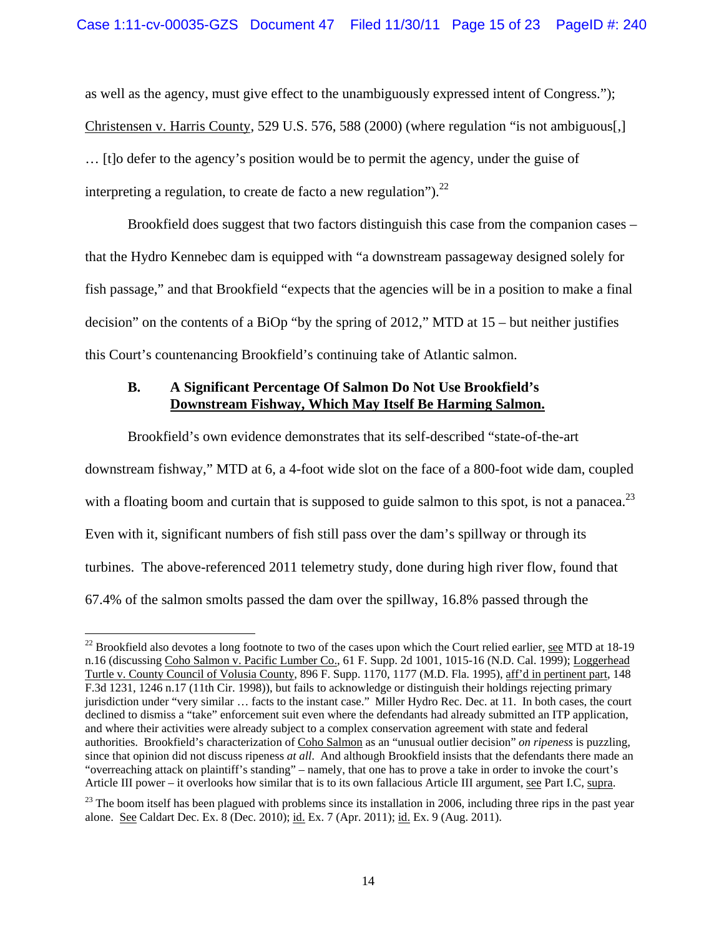as well as the agency, must give effect to the unambiguously expressed intent of Congress."); Christensen v. Harris County, 529 U.S. 576, 588 (2000) (where regulation "is not ambiguous[,] … [t]o defer to the agency's position would be to permit the agency, under the guise of interpreting a regulation, to create de facto a new regulation").<sup>22</sup>

Brookfield does suggest that two factors distinguish this case from the companion cases – that the Hydro Kennebec dam is equipped with "a downstream passageway designed solely for fish passage," and that Brookfield "expects that the agencies will be in a position to make a final decision" on the contents of a BiOp "by the spring of 2012," MTD at 15 – but neither justifies this Court's countenancing Brookfield's continuing take of Atlantic salmon.

## **B. A Significant Percentage Of Salmon Do Not Use Brookfield's Downstream Fishway, Which May Itself Be Harming Salmon.**

Brookfield's own evidence demonstrates that its self-described "state-of-the-art downstream fishway," MTD at 6, a 4-foot wide slot on the face of a 800-foot wide dam, coupled with a floating boom and curtain that is supposed to guide salmon to this spot, is not a panacea.<sup>23</sup> Even with it, significant numbers of fish still pass over the dam's spillway or through its turbines. The above-referenced 2011 telemetry study, done during high river flow, found that 67.4% of the salmon smolts passed the dam over the spillway, 16.8% passed through the

  $22$  Brookfield also devotes a long footnote to two of the cases upon which the Court relied earlier, see MTD at 18-19 n.16 (discussing Coho Salmon v. Pacific Lumber Co., 61 F. Supp. 2d 1001, 1015-16 (N.D. Cal. 1999); Loggerhead Turtle v. County Council of Volusia County, 896 F. Supp. 1170, 1177 (M.D. Fla. 1995), aff'd in pertinent part, 148 F.3d 1231, 1246 n.17 (11th Cir. 1998)), but fails to acknowledge or distinguish their holdings rejecting primary jurisdiction under "very similar … facts to the instant case." Miller Hydro Rec. Dec. at 11. In both cases, the court declined to dismiss a "take" enforcement suit even where the defendants had already submitted an ITP application, and where their activities were already subject to a complex conservation agreement with state and federal authorities. Brookfield's characterization of Coho Salmon as an "unusual outlier decision" *on ripeness* is puzzling, since that opinion did not discuss ripeness *at all*. And although Brookfield insists that the defendants there made an "overreaching attack on plaintiff's standing" – namely, that one has to prove a take in order to invoke the court's Article III power – it overlooks how similar that is to its own fallacious Article III argument, see Part I.C, supra.

 $^{23}$  The boom itself has been plagued with problems since its installation in 2006, including three rips in the past year alone. See Caldart Dec. Ex. 8 (Dec. 2010); id. Ex. 7 (Apr. 2011); id. Ex. 9 (Aug. 2011).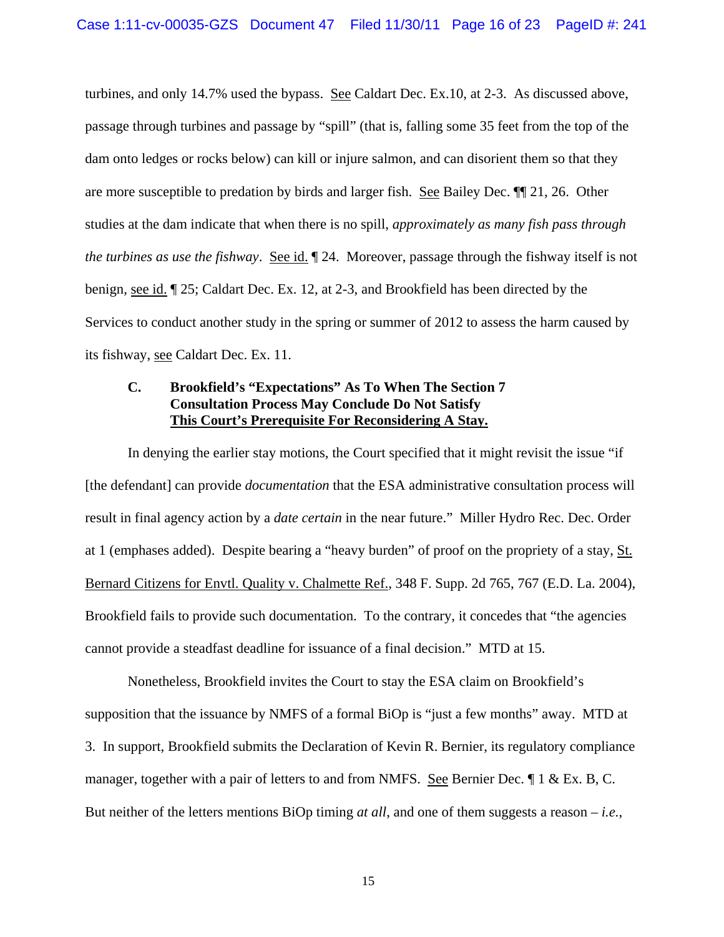turbines, and only 14.7% used the bypass. See Caldart Dec. Ex.10, at 2-3. As discussed above, passage through turbines and passage by "spill" (that is, falling some 35 feet from the top of the dam onto ledges or rocks below) can kill or injure salmon, and can disorient them so that they are more susceptible to predation by birds and larger fish. See Bailey Dec. ¶¶ 21, 26. Other studies at the dam indicate that when there is no spill, *approximately as many fish pass through the turbines as use the fishway.* See id. 124. Moreover, passage through the fishway itself is not benign, see id. ¶ 25; Caldart Dec. Ex. 12, at 2-3, and Brookfield has been directed by the Services to conduct another study in the spring or summer of 2012 to assess the harm caused by its fishway, see Caldart Dec. Ex. 11.

## **C. Brookfield's "Expectations" As To When The Section 7 Consultation Process May Conclude Do Not Satisfy This Court's Prerequisite For Reconsidering A Stay.**

In denying the earlier stay motions, the Court specified that it might revisit the issue "if [the defendant] can provide *documentation* that the ESA administrative consultation process will result in final agency action by a *date certain* in the near future." Miller Hydro Rec. Dec. Order at 1 (emphases added). Despite bearing a "heavy burden" of proof on the propriety of a stay, St. Bernard Citizens for Envtl. Quality v. Chalmette Ref., 348 F. Supp. 2d 765, 767 (E.D. La. 2004), Brookfield fails to provide such documentation. To the contrary, it concedes that "the agencies cannot provide a steadfast deadline for issuance of a final decision." MTD at 15.

Nonetheless, Brookfield invites the Court to stay the ESA claim on Brookfield's supposition that the issuance by NMFS of a formal BiOp is "just a few months" away. MTD at 3. In support, Brookfield submits the Declaration of Kevin R. Bernier, its regulatory compliance manager, together with a pair of letters to and from NMFS. See Bernier Dec. ¶ 1 & Ex. B, C. But neither of the letters mentions BiOp timing *at all*, and one of them suggests a reason – *i.e.*,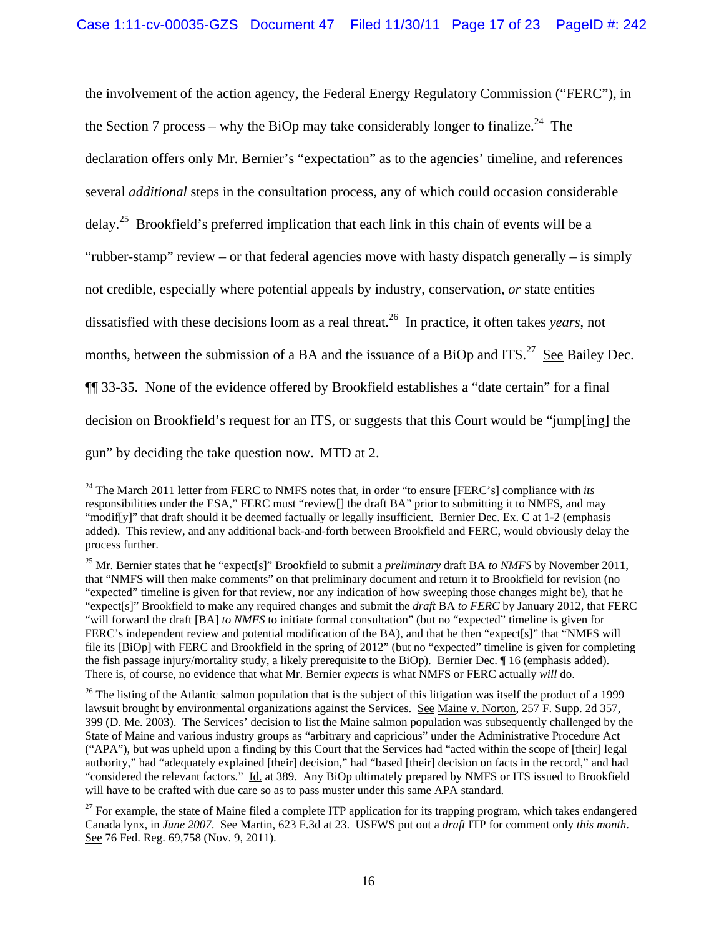the involvement of the action agency, the Federal Energy Regulatory Commission ("FERC"), in the Section 7 process – why the BiOp may take considerably longer to finalize.<sup>24</sup> The declaration offers only Mr. Bernier's "expectation" as to the agencies' timeline, and references several *additional* steps in the consultation process, any of which could occasion considerable delay.<sup>25</sup> Brookfield's preferred implication that each link in this chain of events will be a "rubber-stamp" review – or that federal agencies move with hasty dispatch generally – is simply not credible, especially where potential appeals by industry, conservation, *or* state entities dissatisfied with these decisions loom as a real threat.26 In practice, it often takes *years*, not months, between the submission of a BA and the issuance of a BiOp and ITS.<sup>27</sup> See Bailey Dec. ¶¶ 33-35. None of the evidence offered by Brookfield establishes a "date certain" for a final decision on Brookfield's request for an ITS, or suggests that this Court would be "jump[ing] the gun" by deciding the take question now. MTD at 2.

<sup>24</sup> The March 2011 letter from FERC to NMFS notes that, in order "to ensure [FERC's] compliance with *its* responsibilities under the ESA," FERC must "review[] the draft BA" prior to submitting it to NMFS, and may "modif[y]" that draft should it be deemed factually or legally insufficient. Bernier Dec. Ex. C at 1-2 (emphasis added). This review, and any additional back-and-forth between Brookfield and FERC, would obviously delay the process further.

<sup>25</sup> Mr. Bernier states that he "expect[s]" Brookfield to submit a *preliminary* draft BA *to NMFS* by November 2011, that "NMFS will then make comments" on that preliminary document and return it to Brookfield for revision (no "expected" timeline is given for that review, nor any indication of how sweeping those changes might be), that he "expect[s]" Brookfield to make any required changes and submit the *draft* BA *to FERC* by January 2012, that FERC "will forward the draft [BA] *to NMFS* to initiate formal consultation" (but no "expected" timeline is given for FERC's independent review and potential modification of the BA), and that he then "expect[s]" that "NMFS will file its [BiOp] with FERC and Brookfield in the spring of 2012" (but no "expected" timeline is given for completing the fish passage injury/mortality study, a likely prerequisite to the BiOp). Bernier Dec. ¶ 16 (emphasis added). There is, of course, no evidence that what Mr. Bernier *expects* is what NMFS or FERC actually *will* do.

 $26$  The listing of the Atlantic salmon population that is the subject of this litigation was itself the product of a 1999 lawsuit brought by environmental organizations against the Services. See Maine v. Norton, 257 F. Supp. 2d 357, 399 (D. Me. 2003). The Services' decision to list the Maine salmon population was subsequently challenged by the State of Maine and various industry groups as "arbitrary and capricious" under the Administrative Procedure Act ("APA"), but was upheld upon a finding by this Court that the Services had "acted within the scope of [their] legal authority," had "adequately explained [their] decision," had "based [their] decision on facts in the record," and had "considered the relevant factors." Id. at 389. Any BiOp ultimately prepared by NMFS or ITS issued to Brookfield will have to be crafted with due care so as to pass muster under this same APA standard.

 $27$  For example, the state of Maine filed a complete ITP application for its trapping program, which takes endangered Canada lynx, in *June 2007*. See Martin, 623 F.3d at 23. USFWS put out a *draft* ITP for comment only *this month*. See 76 Fed. Reg. 69,758 (Nov. 9, 2011).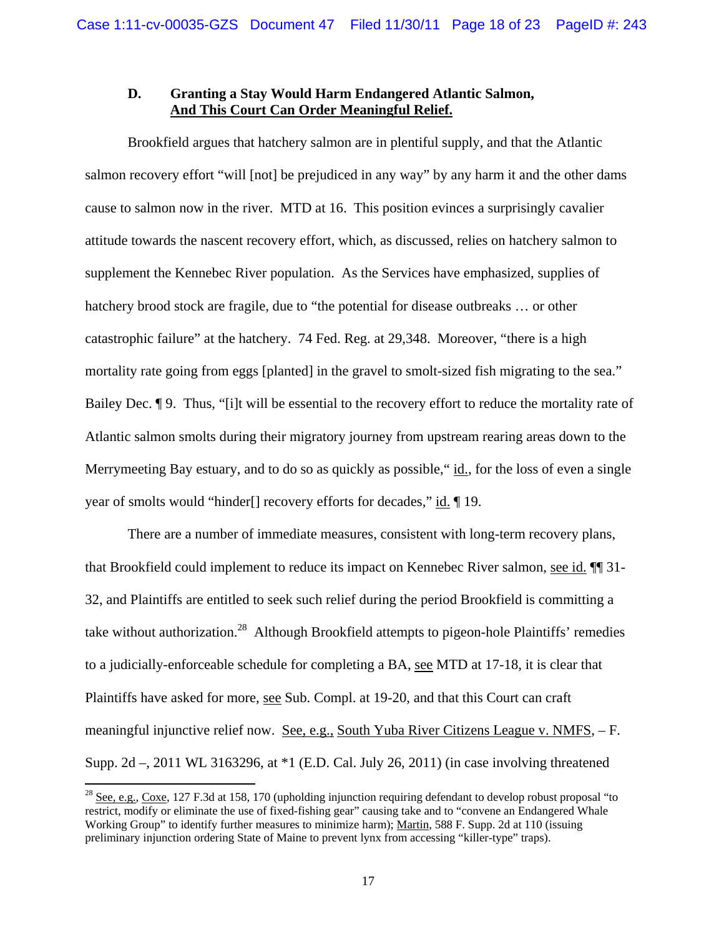### **D. Granting a Stay Would Harm Endangered Atlantic Salmon, And This Court Can Order Meaningful Relief.**

Brookfield argues that hatchery salmon are in plentiful supply, and that the Atlantic salmon recovery effort "will [not] be prejudiced in any way" by any harm it and the other dams cause to salmon now in the river. MTD at 16. This position evinces a surprisingly cavalier attitude towards the nascent recovery effort, which, as discussed, relies on hatchery salmon to supplement the Kennebec River population. As the Services have emphasized, supplies of hatchery brood stock are fragile, due to "the potential for disease outbreaks ... or other catastrophic failure" at the hatchery. 74 Fed. Reg. at 29,348. Moreover, "there is a high mortality rate going from eggs [planted] in the gravel to smolt-sized fish migrating to the sea." Bailey Dec. ¶ 9. Thus, "[i]t will be essential to the recovery effort to reduce the mortality rate of Atlantic salmon smolts during their migratory journey from upstream rearing areas down to the Merrymeeting Bay estuary, and to do so as quickly as possible, "id., for the loss of even a single year of smolts would "hinder[] recovery efforts for decades," id. ¶ 19.

There are a number of immediate measures, consistent with long-term recovery plans, that Brookfield could implement to reduce its impact on Kennebec River salmon, see id. ¶¶ 31- 32, and Plaintiffs are entitled to seek such relief during the period Brookfield is committing a take without authorization.<sup>28</sup> Although Brookfield attempts to pigeon-hole Plaintiffs' remedies to a judicially-enforceable schedule for completing a BA, see MTD at 17-18, it is clear that Plaintiffs have asked for more, see Sub. Compl. at 19-20, and that this Court can craft meaningful injunctive relief now. See, e.g., South Yuba River Citizens League v. NMFS, – F. Supp. 2d –, 2011 WL 3163296, at \*1 (E.D. Cal. July 26, 2011) (in case involving threatened

<sup>&</sup>lt;sup>28</sup> See, e.g., Coxe, 127 F.3d at 158, 170 (upholding injunction requiring defendant to develop robust proposal "to restrict, modify or eliminate the use of fixed-fishing gear" causing take and to "convene an Endangered Whale Working Group" to identify further measures to minimize harm); Martin, 588 F. Supp. 2d at 110 (issuing preliminary injunction ordering State of Maine to prevent lynx from accessing "killer-type" traps).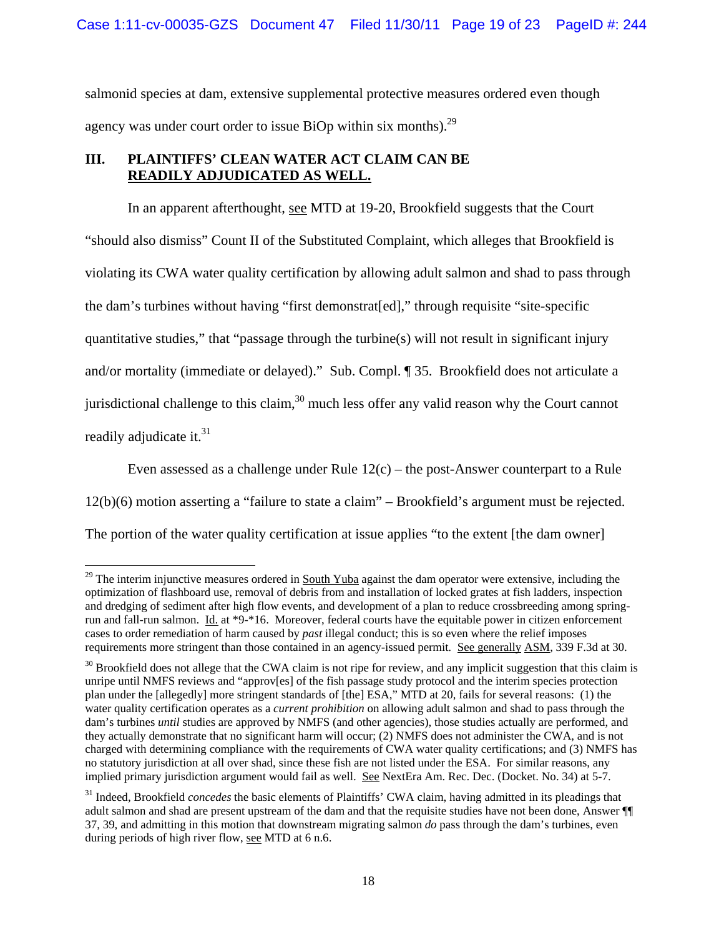salmonid species at dam, extensive supplemental protective measures ordered even though agency was under court order to issue BiOp within six months).<sup>29</sup>

## **III. PLAINTIFFS' CLEAN WATER ACT CLAIM CAN BE READILY ADJUDICATED AS WELL.**

In an apparent afterthought, see MTD at 19-20, Brookfield suggests that the Court "should also dismiss" Count II of the Substituted Complaint, which alleges that Brookfield is violating its CWA water quality certification by allowing adult salmon and shad to pass through the dam's turbines without having "first demonstrat[ed]," through requisite "site-specific quantitative studies," that "passage through the turbine(s) will not result in significant injury and/or mortality (immediate or delayed)." Sub. Compl. ¶ 35. Brookfield does not articulate a jurisdictional challenge to this claim, $30$  much less offer any valid reason why the Court cannot readily adjudicate it. $31$ 

Even assessed as a challenge under Rule  $12(c)$  – the post-Answer counterpart to a Rule 12(b)(6) motion asserting a "failure to state a claim" – Brookfield's argument must be rejected. The portion of the water quality certification at issue applies "to the extent [the dam owner]

 $29$  The interim injunctive measures ordered in South Yuba against the dam operator were extensive, including the optimization of flashboard use, removal of debris from and installation of locked grates at fish ladders, inspection and dredging of sediment after high flow events, and development of a plan to reduce crossbreeding among springrun and fall-run salmon. Id. at \*9-\*16. Moreover, federal courts have the equitable power in citizen enforcement cases to order remediation of harm caused by *past* illegal conduct; this is so even where the relief imposes requirements more stringent than those contained in an agency-issued permit. See generally ASM, 339 F.3d at 30.

 $30$  Brookfield does not allege that the CWA claim is not ripe for review, and any implicit suggestion that this claim is unripe until NMFS reviews and "approv[es] of the fish passage study protocol and the interim species protection plan under the [allegedly] more stringent standards of [the] ESA," MTD at 20, fails for several reasons: (1) the water quality certification operates as a *current prohibition* on allowing adult salmon and shad to pass through the dam's turbines *until* studies are approved by NMFS (and other agencies), those studies actually are performed, and they actually demonstrate that no significant harm will occur; (2) NMFS does not administer the CWA, and is not charged with determining compliance with the requirements of CWA water quality certifications; and (3) NMFS has no statutory jurisdiction at all over shad, since these fish are not listed under the ESA. For similar reasons, any implied primary jurisdiction argument would fail as well. See NextEra Am. Rec. Dec. (Docket. No. 34) at 5-7.

<sup>31</sup> Indeed, Brookfield *concedes* the basic elements of Plaintiffs' CWA claim, having admitted in its pleadings that adult salmon and shad are present upstream of the dam and that the requisite studies have not been done, Answer ¶¶ 37, 39, and admitting in this motion that downstream migrating salmon *do* pass through the dam's turbines, even during periods of high river flow, see MTD at 6 n.6.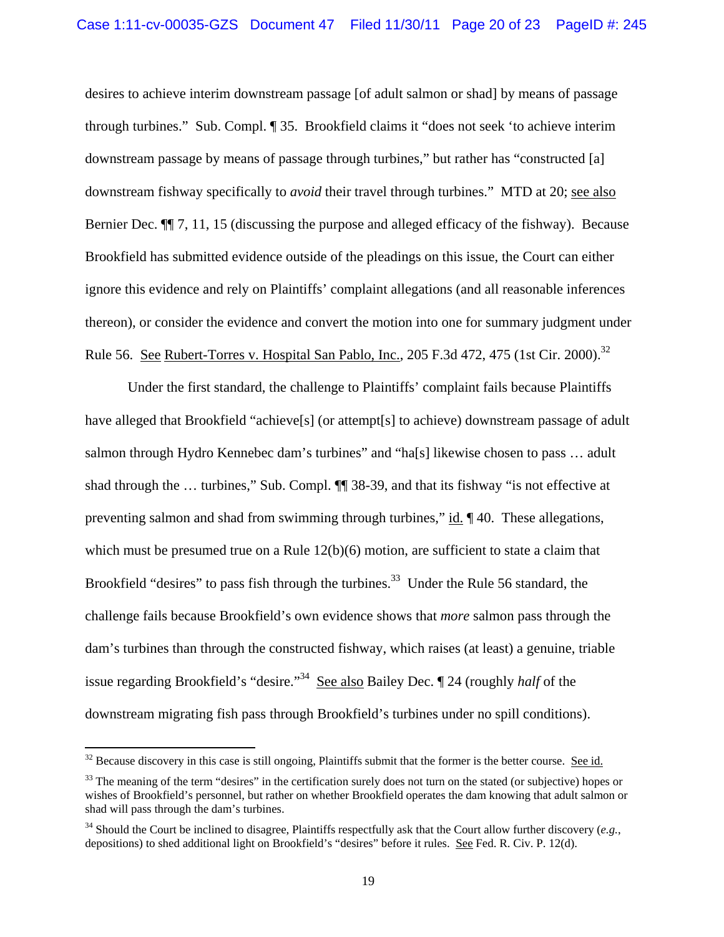desires to achieve interim downstream passage [of adult salmon or shad] by means of passage through turbines." Sub. Compl. ¶ 35. Brookfield claims it "does not seek 'to achieve interim downstream passage by means of passage through turbines," but rather has "constructed [a] downstream fishway specifically to *avoid* their travel through turbines." MTD at 20; see also Bernier Dec. ¶¶ 7, 11, 15 (discussing the purpose and alleged efficacy of the fishway). Because Brookfield has submitted evidence outside of the pleadings on this issue, the Court can either ignore this evidence and rely on Plaintiffs' complaint allegations (and all reasonable inferences thereon), or consider the evidence and convert the motion into one for summary judgment under Rule 56. See Rubert-Torres v. Hospital San Pablo, Inc., 205 F.3d 472, 475 (1st Cir. 2000).<sup>32</sup>

Under the first standard, the challenge to Plaintiffs' complaint fails because Plaintiffs have alleged that Brookfield "achieve<sup>[5]</sup> (or attempt<sup>[5]</sup> to achieve) downstream passage of adult salmon through Hydro Kennebec dam's turbines" and "ha[s] likewise chosen to pass … adult shad through the … turbines," Sub. Compl. ¶¶ 38-39, and that its fishway "is not effective at preventing salmon and shad from swimming through turbines," id. ¶40. These allegations, which must be presumed true on a Rule  $12(b)(6)$  motion, are sufficient to state a claim that Brookfield "desires" to pass fish through the turbines.<sup>33</sup> Under the Rule 56 standard, the challenge fails because Brookfield's own evidence shows that *more* salmon pass through the dam's turbines than through the constructed fishway, which raises (at least) a genuine, triable issue regarding Brookfield's "desire."34 See also Bailey Dec. ¶ 24 (roughly *half* of the downstream migrating fish pass through Brookfield's turbines under no spill conditions).

 $32$  Because discovery in this case is still ongoing, Plaintiffs submit that the former is the better course. See id.

 $33$  The meaning of the term "desires" in the certification surely does not turn on the stated (or subjective) hopes or wishes of Brookfield's personnel, but rather on whether Brookfield operates the dam knowing that adult salmon or shad will pass through the dam's turbines.

<sup>34</sup> Should the Court be inclined to disagree, Plaintiffs respectfully ask that the Court allow further discovery (*e.g.*, depositions) to shed additional light on Brookfield's "desires" before it rules. See Fed. R. Civ. P. 12(d).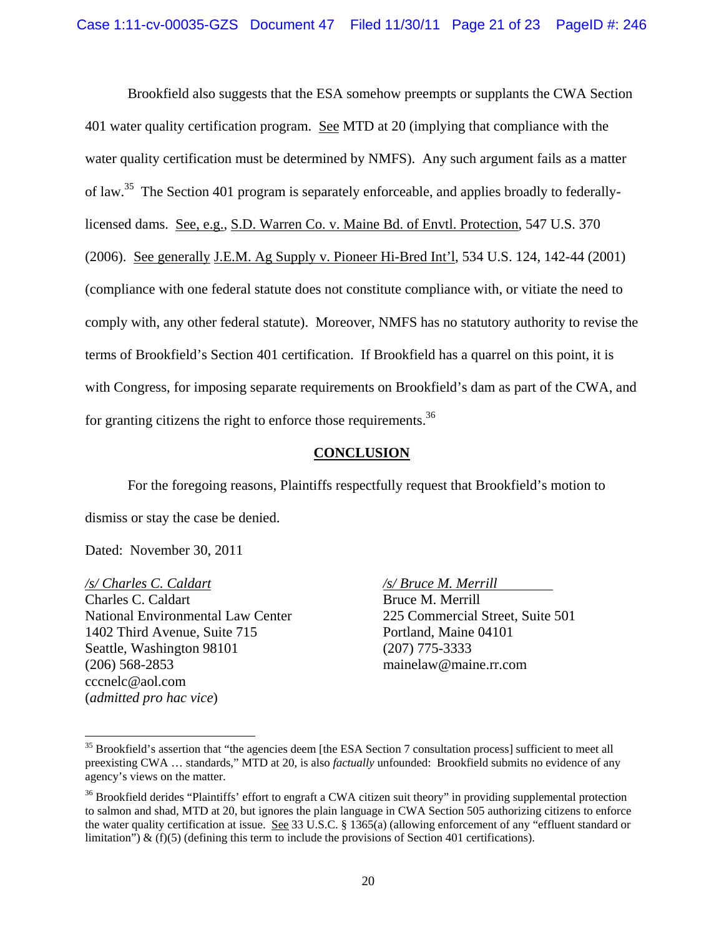Brookfield also suggests that the ESA somehow preempts or supplants the CWA Section 401 water quality certification program. See MTD at 20 (implying that compliance with the water quality certification must be determined by NMFS). Any such argument fails as a matter of law.35 The Section 401 program is separately enforceable, and applies broadly to federallylicensed dams. See, e.g., S.D. Warren Co. v. Maine Bd. of Envtl. Protection, 547 U.S. 370 (2006). See generally J.E.M. Ag Supply v. Pioneer Hi-Bred Int'l, 534 U.S. 124, 142-44 (2001) (compliance with one federal statute does not constitute compliance with, or vitiate the need to comply with, any other federal statute). Moreover, NMFS has no statutory authority to revise the terms of Brookfield's Section 401 certification. If Brookfield has a quarrel on this point, it is with Congress, for imposing separate requirements on Brookfield's dam as part of the CWA, and for granting citizens the right to enforce those requirements.<sup>36</sup>

## **CONCLUSION**

For the foregoing reasons, Plaintiffs respectfully request that Brookfield's motion to dismiss or stay the case be denied.

Dated: November 30, 2011

*/s/ Charles C. Caldart /s/ Bruce M. Merrill* 

Charles C. Caldart Bruce M. Merrill National Environmental Law Center 225 Commercial Street, Suite 501 1402 Third Avenue, Suite 715 Portland, Maine 04101 Seattle, Washington 98101 (207) 775-3333 (206) 568-2853 mainelaw@maine.rr.com cccnelc@aol.com (*admitted pro hac vice*)

<sup>&</sup>lt;sup>35</sup> Brookfield's assertion that "the agencies deem [the ESA Section 7 consultation process] sufficient to meet all preexisting CWA … standards," MTD at 20, is also *factually* unfounded: Brookfield submits no evidence of any agency's views on the matter.

<sup>&</sup>lt;sup>36</sup> Brookfield derides "Plaintiffs' effort to engraft a CWA citizen suit theory" in providing supplemental protection to salmon and shad, MTD at 20, but ignores the plain language in CWA Section 505 authorizing citizens to enforce the water quality certification at issue. See 33 U.S.C. § 1365(a) (allowing enforcement of any "effluent standard or limitation")  $\&$  (f)(5) (defining this term to include the provisions of Section 401 certifications).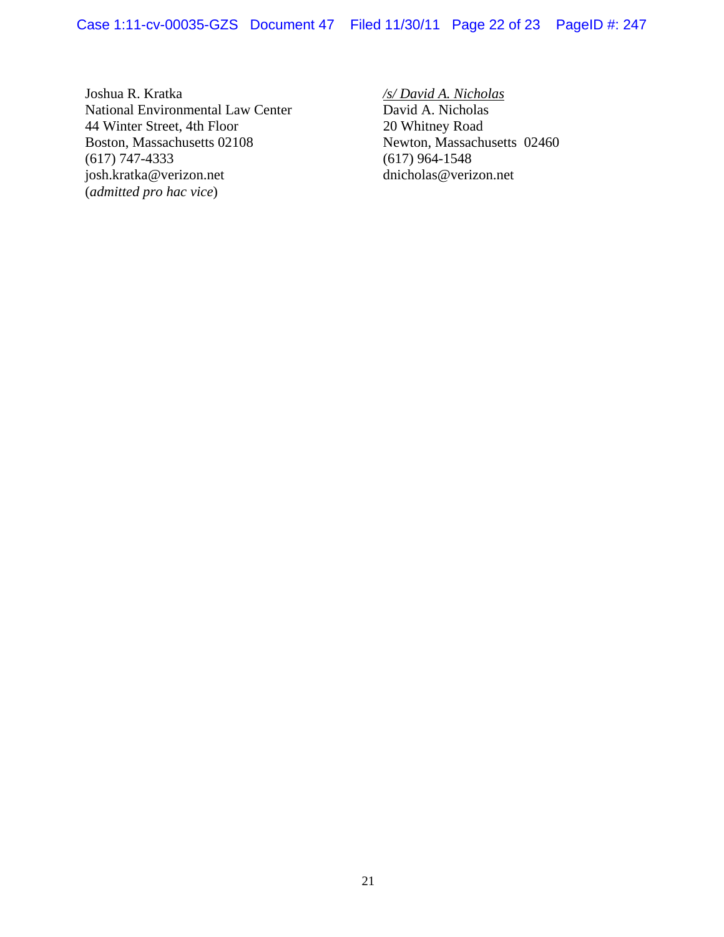Case 1:11-cv-00035-GZS Document 47 Filed 11/30/11 Page 22 of 23 PageID #: 247

Joshua R. Kratka */s/ David A. Nicholas* National Environmental Law Center David A. Nicholas<br>
44 Winter Street, 4th Floor 20 Whitney Road 44 Winter Street, 4th Floor Boston, Massachusetts 02108 Newton, Massachusetts 02460<br>
(617) 747-4333 (617) 964-1548 (617) 747-4333<br>
(617) 964-1548<br>
(617) 964-1548<br>
(617) 964-1548<br>
(617) 964-1548 josh.kratka@verizon.net (*admitted pro hac vice*)